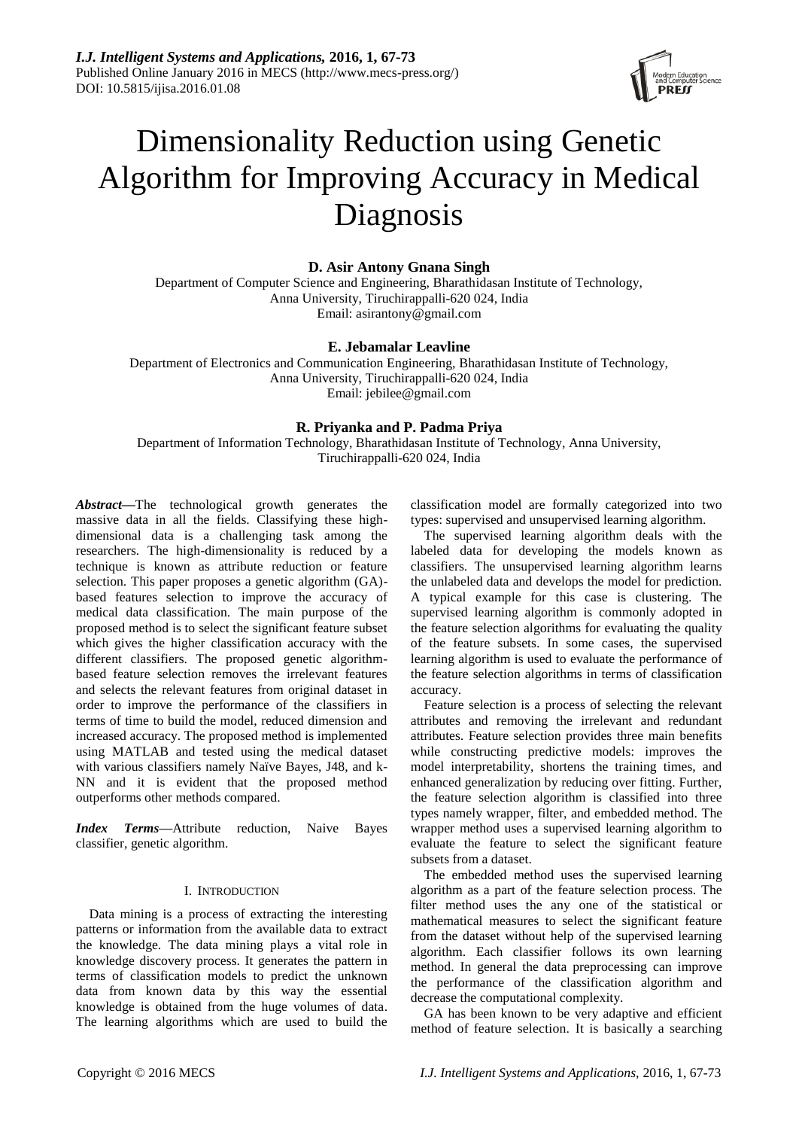

# Dimensionality Reduction using Genetic Algorithm for Improving Accuracy in Medical Diagnosis

# **D. Asir Antony Gnana Singh**

Department of Computer Science and Engineering, Bharathidasan Institute of Technology, Anna University, Tiruchirappalli-620 024, India Email: asirantony@gmail.com

# **E. Jebamalar Leavline**

Department of Electronics and Communication Engineering, Bharathidasan Institute of Technology, Anna University, Tiruchirappalli-620 024, India Email: jebilee@gmail.com

# **R. Priyanka and P. Padma Priya**

Department of Information Technology, Bharathidasan Institute of Technology, Anna University, Tiruchirappalli-620 024, India

*Abstract***—**The technological growth generates the massive data in all the fields. Classifying these highdimensional data is a challenging task among the researchers. The high-dimensionality is reduced by a technique is known as attribute reduction or feature selection. This paper proposes a genetic algorithm (GA) based features selection to improve the accuracy of medical data classification. The main purpose of the proposed method is to select the significant feature subset which gives the higher classification accuracy with the different classifiers. The proposed genetic algorithmbased feature selection removes the irrelevant features and selects the relevant features from original dataset in order to improve the performance of the classifiers in terms of time to build the model, reduced dimension and increased accuracy. The proposed method is implemented using MATLAB and tested using the medical dataset with various classifiers namely Na we Bayes, J48, and k-NN and it is evident that the proposed method outperforms other methods compared.

*Index Terms***—**Attribute reduction, Naive Bayes classifier, genetic algorithm.

# I. INTRODUCTION

Data mining is a process of extracting the interesting patterns or information from the available data to extract the knowledge. The data mining plays a vital role in knowledge discovery process. It generates the pattern in terms of classification models to predict the unknown data from known data by this way the essential knowledge is obtained from the huge volumes of data. The learning algorithms which are used to build the classification model are formally categorized into two types: supervised and unsupervised learning algorithm.

The supervised learning algorithm deals with the labeled data for developing the models known as classifiers. The unsupervised learning algorithm learns the unlabeled data and develops the model for prediction. A typical example for this case is clustering. The supervised learning algorithm is commonly adopted in the feature selection algorithms for evaluating the quality of the feature subsets. In some cases, the supervised learning algorithm is used to evaluate the performance of the feature selection algorithms in terms of classification accuracy.

Feature selection is a process of selecting the relevant attributes and removing the irrelevant and redundant attributes. Feature selection provides three main benefits while constructing predictive models: improves the model interpretability, shortens the training times, and enhanced generalization by reducing over fitting. Further, the feature selection algorithm is classified into three types namely wrapper, filter, and embedded method. The wrapper method uses a supervised learning algorithm to evaluate the feature to select the significant feature subsets from a dataset.

The embedded method uses the supervised learning algorithm as a part of the feature selection process. The filter method uses the any one of the statistical or mathematical measures to select the significant feature from the dataset without help of the supervised learning algorithm. Each classifier follows its own learning method. In general the data preprocessing can improve the performance of the classification algorithm and decrease the computational complexity.

GA has been known to be very adaptive and efficient method of feature selection. It is basically a searching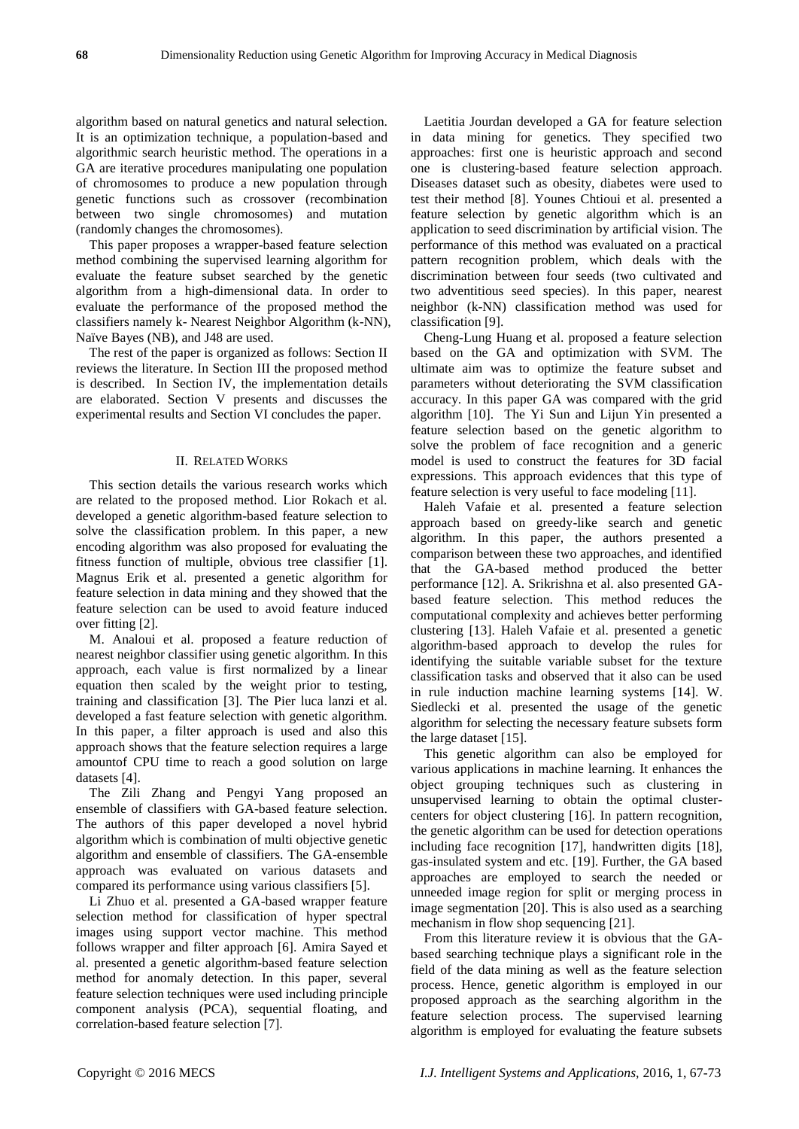algorithm based on natural genetics and natural selection. It is an optimization technique, a population-based and algorithmic search heuristic method. The operations in a GA are iterative procedures manipulating one population of chromosomes to produce a new population through genetic functions such as crossover (recombination between two single chromosomes) and mutation (randomly changes the chromosomes).

This paper proposes a wrapper-based feature selection method combining the supervised learning algorithm for evaluate the feature subset searched by the genetic algorithm from a high-dimensional data. In order to evaluate the performance of the proposed method the classifiers namely k- Nearest Neighbor Algorithm (k-NN), Na *ive* Bayes (NB), and J48 are used.

The rest of the paper is organized as follows: Section II reviews the literature. In Section III the proposed method is described. In Section IV, the implementation details are elaborated. Section V presents and discusses the experimental results and Section VI concludes the paper.

## II. RELATED WORKS

This section details the various research works which are related to the proposed method. Lior Rokach et al. developed a genetic algorithm-based feature selection to solve the classification problem. In this paper, a new encoding algorithm was also proposed for evaluating the fitness function of multiple, obvious tree classifier [1]. Magnus Erik et al. presented a genetic algorithm for feature selection in data mining and they showed that the feature selection can be used to avoid feature induced over fitting [2].

M. Analoui et al. proposed a feature reduction of nearest neighbor classifier using genetic algorithm. In this approach, each value is first normalized by a linear equation then scaled by the weight prior to testing, training and classification [3]. The Pier luca lanzi et al. developed a fast feature selection with genetic algorithm. In this paper, a filter approach is used and also this approach shows that the feature selection requires a large amountof CPU time to reach a good solution on large datasets [4].

The Zili Zhang and Pengyi Yang proposed an ensemble of classifiers with GA-based feature selection. The authors of this paper developed a novel hybrid algorithm which is combination of multi objective genetic algorithm and ensemble of classifiers. The GA-ensemble approach was evaluated on various datasets and compared its performance using various classifiers [5].

Li Zhuo et al. presented a GA-based wrapper feature selection method for classification of hyper spectral images using support vector machine. This method follows wrapper and filter approach [6]. Amira Sayed et al. presented a genetic algorithm-based feature selection method for anomaly detection. In this paper, several feature selection techniques were used including principle component analysis (PCA), sequential floating, and correlation-based feature selection [7].

Laetitia Jourdan developed a GA for feature selection in data mining for genetics. They specified two approaches: first one is heuristic approach and second one is clustering-based feature selection approach. Diseases dataset such as obesity, diabetes were used to test their method [8]. Younes Chtioui et al. presented a feature selection by genetic algorithm which is an application to seed discrimination by artificial vision. The performance of this method was evaluated on a practical pattern recognition problem, which deals with the discrimination between four seeds (two cultivated and two adventitious seed species). In this paper, nearest neighbor (k-NN) classification method was used for classification [9].

Cheng-Lung Huang et al. proposed a feature selection based on the GA and optimization with SVM. The ultimate aim was to optimize the feature subset and parameters without deteriorating the SVM classification accuracy. In this paper GA was compared with the grid algorithm [10]. The Yi Sun and Lijun Yin presented a feature selection based on the genetic algorithm to solve the problem of face recognition and a generic model is used to construct the features for 3D facial expressions. This approach evidences that this type of feature selection is very useful to face modeling [11].

Haleh Vafaie et al. presented a feature selection approach based on greedy-like search and genetic algorithm. In this paper, the authors presented a comparison between these two approaches, and identified that the GA-based method produced the better performance [12]. A. Srikrishna et al. also presented GAbased feature selection. This method reduces the computational complexity and achieves better performing clustering [13]. Haleh Vafaie et al. presented a genetic algorithm-based approach to develop the rules for identifying the suitable variable subset for the texture classification tasks and observed that it also can be used in rule induction machine learning systems [14]. W. Siedlecki et al. presented the usage of the genetic algorithm for selecting the necessary feature subsets form the large dataset [15].

This genetic algorithm can also be employed for various applications in machine learning. It enhances the object grouping techniques such as clustering in unsupervised learning to obtain the optimal clustercenters for object clustering [16]. In pattern recognition, the genetic algorithm can be used for detection operations including face recognition [17], handwritten digits [18], gas-insulated system and etc. [19]. Further, the GA based approaches are employed to search the needed or unneeded image region for split or merging process in image segmentation [20]. This is also used as a searching mechanism in flow shop sequencing [21].

From this literature review it is obvious that the GAbased searching technique plays a significant role in the field of the data mining as well as the feature selection process. Hence, genetic algorithm is employed in our proposed approach as the searching algorithm in the feature selection process. The supervised learning algorithm is employed for evaluating the feature subsets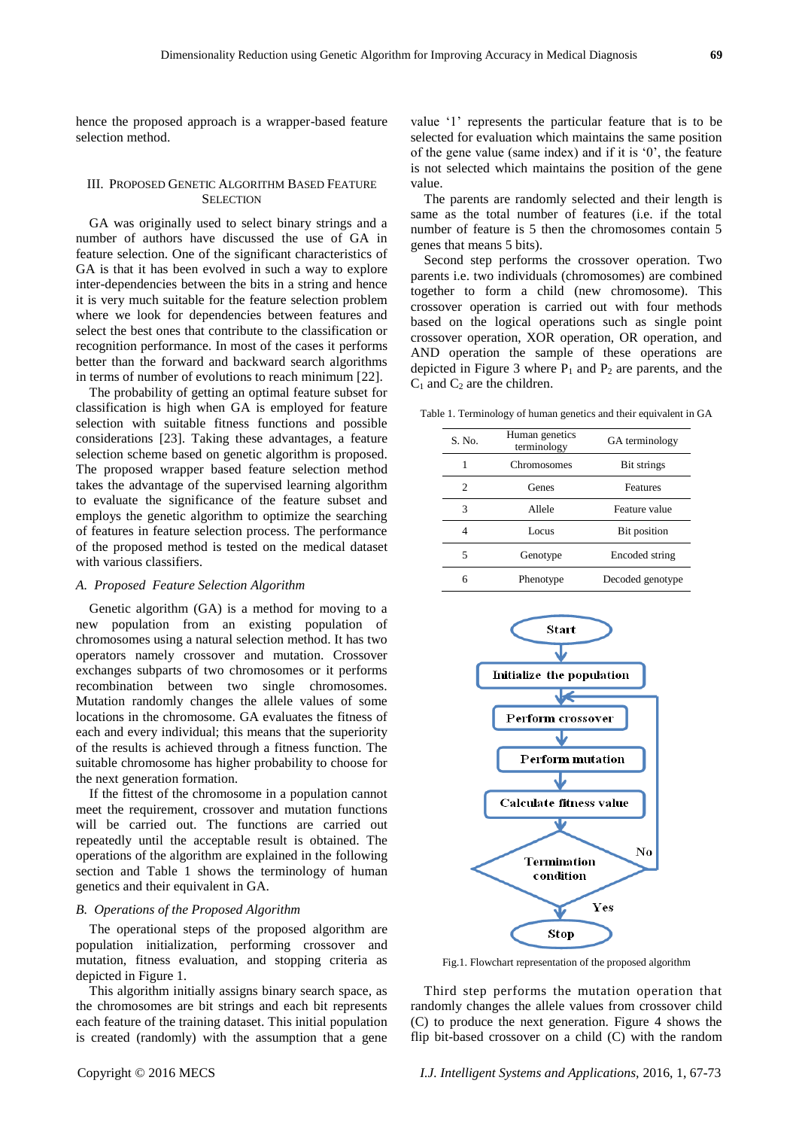hence the proposed approach is a wrapper-based feature selection method.

## III. PROPOSED GENETIC ALGORITHM BASED FEATURE **SELECTION**

GA was originally used to select binary strings and a number of authors have discussed the use of GA in feature selection. One of the significant characteristics of GA is that it has been evolved in such a way to explore inter-dependencies between the bits in a string and hence it is very much suitable for the feature selection problem where we look for dependencies between features and select the best ones that contribute to the classification or recognition performance. In most of the cases it performs better than the forward and backward search algorithms in terms of number of evolutions to reach minimum [22].

The probability of getting an optimal feature subset for classification is high when GA is employed for feature selection with suitable fitness functions and possible considerations [23]. Taking these advantages, a feature selection scheme based on genetic algorithm is proposed. The proposed wrapper based feature selection method takes the advantage of the supervised learning algorithm to evaluate the significance of the feature subset and employs the genetic algorithm to optimize the searching of features in feature selection process. The performance of the proposed method is tested on the medical dataset with various classifiers.

#### *A. Proposed Feature Selection Algorithm*

Genetic algorithm (GA) is a method for moving to a new population from an existing population of chromosomes using a natural selection method. It has two operators namely crossover and mutation. Crossover exchanges subparts of two chromosomes or it performs recombination between two single chromosomes. Mutation randomly changes the allele values of some locations in the chromosome. GA evaluates the fitness of each and every individual; this means that the superiority of the results is achieved through a fitness function. The suitable chromosome has higher probability to choose for the next generation formation.

If the fittest of the chromosome in a population cannot meet the requirement, crossover and mutation functions will be carried out. The functions are carried out repeatedly until the acceptable result is obtained. The operations of the algorithm are explained in the following section and Table 1 shows the terminology of human genetics and their equivalent in GA.

#### *B. Operations of the Proposed Algorithm*

The operational steps of the proposed algorithm are population initialization, performing crossover and mutation, fitness evaluation, and stopping criteria as depicted in Figure 1.

This algorithm initially assigns binary search space, as the chromosomes are bit strings and each bit represents each feature of the training dataset. This initial population is created (randomly) with the assumption that a gene value '1' represents the particular feature that is to be selected for evaluation which maintains the same position of the gene value (same index) and if it is '0', the feature is not selected which maintains the position of the gene value.

The parents are randomly selected and their length is same as the total number of features (i.e. if the total number of feature is 5 then the chromosomes contain 5 genes that means 5 bits).

Second step performs the crossover operation. Two parents i.e. two individuals (chromosomes) are combined together to form a child (new chromosome). This crossover operation is carried out with four methods based on the logical operations such as single point crossover operation, XOR operation, OR operation, and AND operation the sample of these operations are depicted in Figure 3 where  $P_1$  and  $P_2$  are parents, and the  $C_1$  and  $C_2$  are the children.

Table 1. Terminology of human genetics and their equivalent in GA

| S. No. | Human genetics<br>terminology | GA terminology   |  |  |
|--------|-------------------------------|------------------|--|--|
|        | Chromosomes                   | Bit strings      |  |  |
| 2      | Genes                         | <b>Features</b>  |  |  |
| 3      | Allele                        | Feature value    |  |  |
|        | Locus                         | Bit position     |  |  |
| 5      | Genotype                      | Encoded string   |  |  |
| 6      | Phenotype                     | Decoded genotype |  |  |



Fig.1. Flowchart representation of the proposed algorithm

Third step performs the mutation operation that randomly changes the allele values from crossover child (C) to produce the next generation. Figure 4 shows the flip bit-based crossover on a child (C) with the random

Copyright © 2016 MECS *I.J. Intelligent Systems and Applications,* 2016, 1, 67-73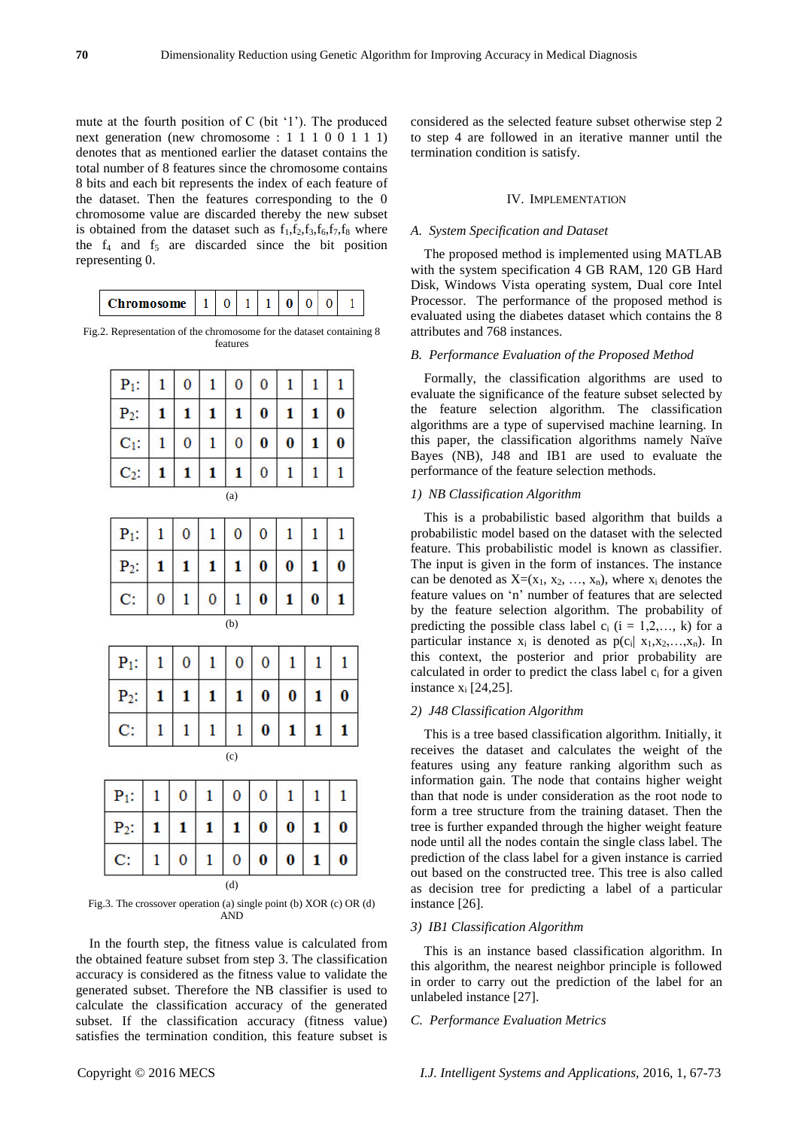mute at the fourth position of C (bit '1'). The produced next generation (new chromosome : 1 1 1 0 0 1 1 1) denotes that as mentioned earlier the dataset contains the total number of 8 features since the chromosome contains 8 bits and each bit represents the index of each feature of the dataset. Then the features corresponding to the 0 chromosome value are discarded thereby the new subset is obtained from the dataset such as  $f_1, f_2, f_3, f_6, f_7, f_8$  where the  $f_4$  and  $f_5$  are discarded since the bit position representing 0.

| Chromosome |
|------------|
|------------|

Fig.2. Representation of the chromosome for the dataset containing 8 features

| $P_1$ : | 1 | 0              | 1 | 0              | 0              | $\mathbf{1}$ | 1            | 1            |  |
|---------|---|----------------|---|----------------|----------------|--------------|--------------|--------------|--|
| $P_2$ : | 1 | 1              | 1 | 1              | 0              | 1            | 1            | 0            |  |
| $C_1$ : | 1 | $\overline{0}$ | 1 | $\overline{0}$ | $\bf{0}$       | $\bf{0}$     | 1            | $\bf{0}$     |  |
| $C_2$ : | 1 | 1              | 1 | 1              | $\overline{0}$ | 1            | $\mathbf{1}$ | $\mathbf{1}$ |  |
| (a)     |   |                |   |                |                |              |              |              |  |
| $P_1$ : | 1 | 0              | 1 | 0              | 0              | 1            | 1            | 1            |  |
| $P_2$ : | 1 | 1              | 1 | 1              | $\bf{0}$       | $\bf{0}$     | 1            | $\bf{0}$     |  |
| C:      | 0 | 1              | 0 | 1              | 0              | 1            | 0            | 1            |  |
| (b)     |   |                |   |                |                |              |              |              |  |
| $P_1$ : | 1 | 0              | 1 | 0              | 0              | 1            | 1            | 1            |  |
| $P_2$ : | 1 | 1              | 1 | 1              | $\bf{0}$       | $\bf{0}$     | 1            | 0            |  |
|         |   |                |   |                |                |              |              |              |  |

| C:      |   |          |              |          | 0        |   |  |  |  |
|---------|---|----------|--------------|----------|----------|---|--|--|--|
| (c)     |   |          |              |          |          |   |  |  |  |
| $P_1$ : | 1 | $\bf{0}$ | $\mathbf{1}$ | $\bf{0}$ | $\bf{0}$ |   |  |  |  |
| $P_2$ : |   |          |              |          | $\bf{0}$ | 0 |  |  |  |

(d)

Fig.3. The crossover operation (a) single point (b) XOR (c) OR (d) AND

0  $\bf{0}$  0

1

0

In the fourth step, the fitness value is calculated from the obtained feature subset from step 3. The classification accuracy is considered as the fitness value to validate the generated subset. Therefore the NB classifier is used to calculate the classification accuracy of the generated subset. If the classification accuracy (fitness value) satisfies the termination condition, this feature subset is

# IV. IMPLEMENTATION

## *A. System Specification and Dataset*

The proposed method is implemented using MATLAB with the system specification 4 GB RAM, 120 GB Hard Disk, Windows Vista operating system, Dual core Intel Processor. The performance of the proposed method is evaluated using the diabetes dataset which contains the 8 attributes and 768 instances.

## *B. Performance Evaluation of the Proposed Method*

Formally, the classification algorithms are used to evaluate the significance of the feature subset selected by the feature selection algorithm. The classification algorithms are a type of supervised machine learning. In this paper, the classification algorithms namely Na  $\ddot{v}$ e Bayes (NB), J48 and IB1 are used to evaluate the performance of the feature selection methods.

## *1) NB Classification Algorithm*

This is a probabilistic based algorithm that builds a probabilistic model based on the dataset with the selected feature. This probabilistic model is known as classifier. The input is given in the form of instances. The instance can be denoted as  $X=(x_1, x_2, ..., x_n)$ , where  $x_i$  denotes the feature values on 'n' number of features that are selected by the feature selection algorithm. The probability of predicting the possible class label  $c_i$  (i = 1,2,..., k) for a particular instance  $x_i$  is denoted as  $p(c_i|x_1, x_2, \ldots, x_n)$ . In this context, the posterior and prior probability are calculated in order to predict the class label c<sub>i</sub> for a given instance  $x_i$  [24,25].

# *2) J48 Classification Algorithm*

This is a tree based classification algorithm. Initially, it receives the dataset and calculates the weight of the features using any feature ranking algorithm such as information gain. The node that contains higher weight than that node is under consideration as the root node to form a tree structure from the training dataset. Then the tree is further expanded through the higher weight feature node until all the nodes contain the single class label. The prediction of the class label for a given instance is carried out based on the constructed tree. This tree is also called as decision tree for predicting a label of a particular instance [26].

#### *3) IB1 Classification Algorithm*

This is an instance based classification algorithm. In this algorithm, the nearest neighbor principle is followed in order to carry out the prediction of the label for an unlabeled instance [27].

# *C. Performance Evaluation Metrics*

C:

1  $\mathbf{0}$ 1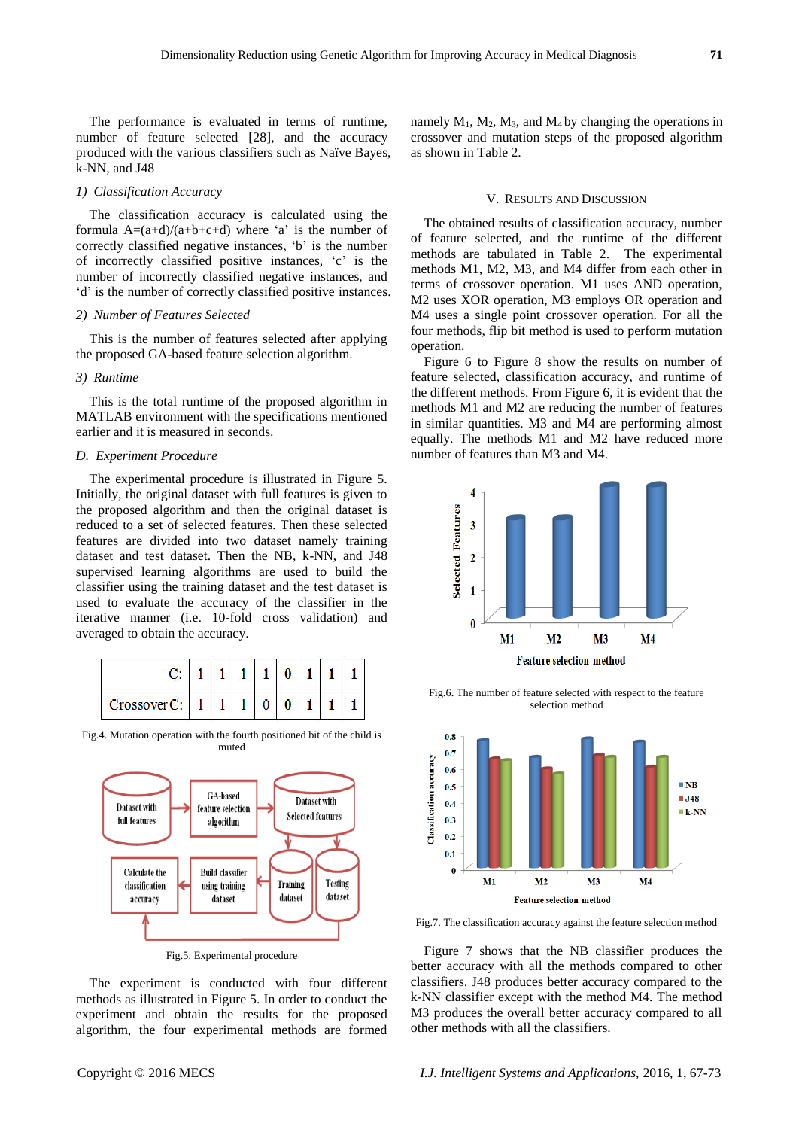The performance is evaluated in terms of runtime, number of feature selected [28], and the accuracy produced with the various classifiers such as Na  $\ddot{v}$ e Bayes, k-NN, and J48

## *1) Classification Accuracy*

The classification accuracy is calculated using the formula  $A=(a+d)/(a+b+c+d)$  where 'a' is the number of correctly classified negative instances, 'b' is the number of incorrectly classified positive instances, 'c' is the number of incorrectly classified negative instances, and 'd' is the number of correctly classified positive instances.

# *2) Number of Features Selected*

This is the number of features selected after applying the proposed GA-based feature selection algorithm.

# *3) Runtime*

This is the total runtime of the proposed algorithm in MATLAB environment with the specifications mentioned earlier and it is measured in seconds.

## *D. Experiment Procedure*

The experimental procedure is illustrated in Figure 5. Initially, the original dataset with full features is given to the proposed algorithm and then the original dataset is reduced to a set of selected features. Then these selected features are divided into two dataset namely training dataset and test dataset. Then the NB, k-NN, and J48 supervised learning algorithms are used to build the classifier using the training dataset and the test dataset is used to evaluate the accuracy of the classifier in the iterative manner (i.e. 10-fold cross validation) and averaged to obtain the accuracy.

|             |  |  | N |  |  |
|-------------|--|--|---|--|--|
| 'rossoverC: |  |  |   |  |  |

Fig.4. Mutation operation with the fourth positioned bit of the child is muted



Fig.5. Experimental procedure

The experiment is conducted with four different methods as illustrated in Figure 5. In order to conduct the experiment and obtain the results for the proposed algorithm, the four experimental methods are formed

#### V. RESULTS AND DISCUSSION

The obtained results of classification accuracy, number of feature selected, and the runtime of the different methods are tabulated in Table 2. The experimental methods M1, M2, M3, and M4 differ from each other in terms of crossover operation. M1 uses AND operation, M2 uses XOR operation, M3 employs OR operation and M4 uses a single point crossover operation. For all the four methods, flip bit method is used to perform mutation operation.

Figure 6 to Figure 8 show the results on number of feature selected, classification accuracy, and runtime of the different methods. From Figure 6, it is evident that the methods M1 and M2 are reducing the number of features in similar quantities. M3 and M4 are performing almost equally. The methods M1 and M2 have reduced more number of features than M3 and M4.



Fig.6. The number of feature selected with respect to the feature selection method



Fig.7. The classification accuracy against the feature selection method

Figure 7 shows that the NB classifier produces the better accuracy with all the methods compared to other classifiers. J48 produces better accuracy compared to the k-NN classifier except with the method M4. The method M3 produces the overall better accuracy compared to all other methods with all the classifiers.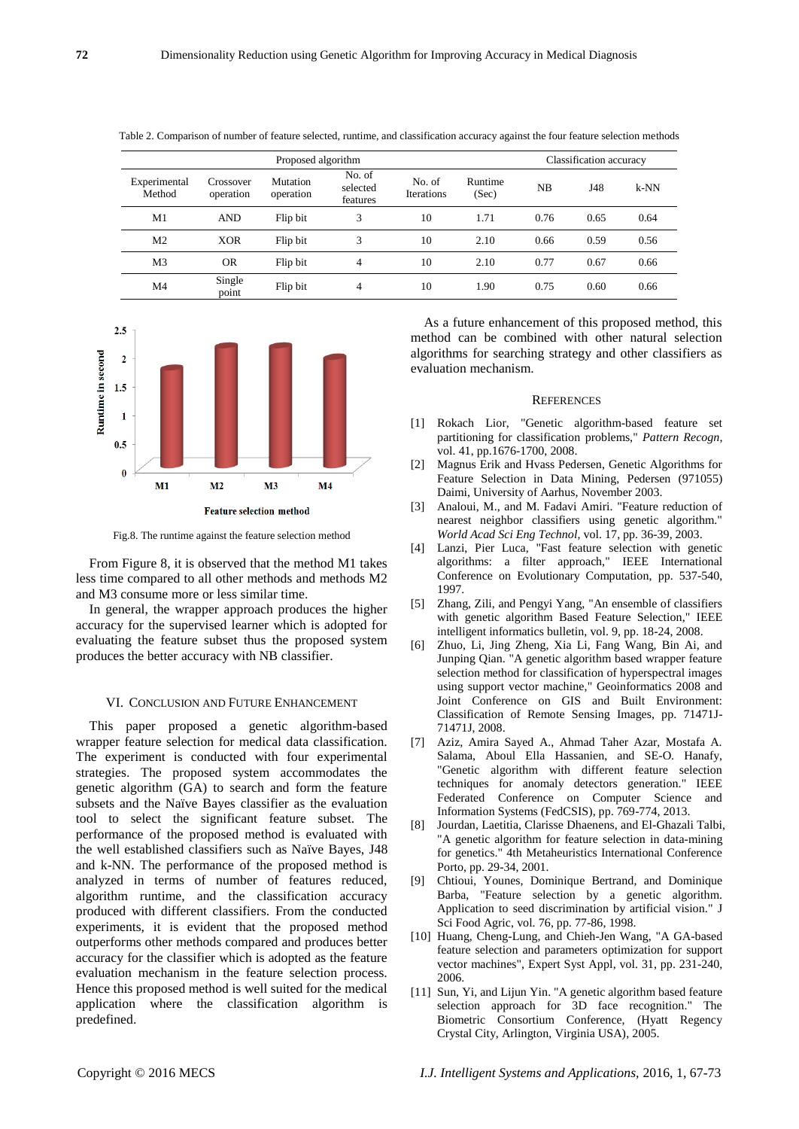|                        |                        | Classification accuracy                                                                |   |                  |      |      |        |      |
|------------------------|------------------------|----------------------------------------------------------------------------------------|---|------------------|------|------|--------|------|
| Experimental<br>Method | Crossover<br>operation | No. of<br><b>Mutation</b><br>No. of<br>selected<br>Iterations<br>operation<br>features |   | Runtime<br>(Sec) | NB   | J48  | $k-NN$ |      |
| M1                     | <b>AND</b>             | Flip bit                                                                               | 3 | 10               | 1.71 | 0.76 | 0.65   | 0.64 |
| M <sub>2</sub>         | <b>XOR</b>             | Flip bit                                                                               | 3 | 10               | 2.10 | 0.66 | 0.59   | 0.56 |
| M <sub>3</sub>         | <b>OR</b>              | Flip bit                                                                               | 4 | 10               | 2.10 | 0.77 | 0.67   | 0.66 |
| M4                     | Single<br>point        | Flip bit                                                                               | 4 | 10               | 1.90 | 0.75 | 0.60   | 0.66 |

Table 2. Comparison of number of feature selected, runtime, and classification accuracy against the four feature selection methods



Fig.8. The runtime against the feature selection method

From Figure 8, it is observed that the method M1 takes less time compared to all other methods and methods M2 and M3 consume more or less similar time.

In general, the wrapper approach produces the higher accuracy for the supervised learner which is adopted for evaluating the feature subset thus the proposed system produces the better accuracy with NB classifier.

## VI. CONCLUSION AND FUTURE ENHANCEMENT

This paper proposed a genetic algorithm-based wrapper feature selection for medical data classification. The experiment is conducted with four experimental strategies. The proposed system accommodates the genetic algorithm (GA) to search and form the feature subsets and the Naïve Bayes classifier as the evaluation tool to select the significant feature subset. The performance of the proposed method is evaluated with the well established classifiers such as Na  $\bar{v}$ e Bayes, J48 and k-NN. The performance of the proposed method is analyzed in terms of number of features reduced, algorithm runtime, and the classification accuracy produced with different classifiers. From the conducted experiments, it is evident that the proposed method outperforms other methods compared and produces better accuracy for the classifier which is adopted as the feature evaluation mechanism in the feature selection process. Hence this proposed method is well suited for the medical application where the classification algorithm is predefined.

As a future enhancement of this proposed method, this method can be combined with other natural selection algorithms for searching strategy and other classifiers as evaluation mechanism.

#### **REFERENCES**

- [1] Rokach Lior, "Genetic algorithm-based feature set partitioning for classification problems," *Pattern Recogn*, vol. 41, pp.1676-1700, 2008.
- [2] Magnus Erik and Hvass Pedersen, Genetic Algorithms for Feature Selection in Data Mining, Pedersen (971055) Daimi, University of Aarhus, November 2003.
- [3] Analoui, M., and M. Fadavi Amiri. "Feature reduction of nearest neighbor classifiers using genetic algorithm." *World Acad Sci Eng Technol*, vol. 17, pp. 36-39, 2003.
- [4] Lanzi, Pier Luca, "Fast feature selection with genetic algorithms: a filter approach," IEEE International Conference on Evolutionary Computation, pp. 537-540, 1997.
- [5] Zhang, Zili, and Pengyi Yang, "An ensemble of classifiers with genetic algorithm Based Feature Selection," IEEE intelligent informatics bulletin, vol. 9, pp. 18-24, 2008.
- [6] Zhuo, Li, Jing Zheng, Xia Li, Fang Wang, Bin Ai, and Junping Qian. "A genetic algorithm based wrapper feature selection method for classification of hyperspectral images using support vector machine," Geoinformatics 2008 and Joint Conference on GIS and Built Environment: Classification of Remote Sensing Images, pp. 71471J-71471J, 2008.
- [7] Aziz, Amira Sayed A., Ahmad Taher Azar, Mostafa A. Salama, Aboul Ella Hassanien, and SE-O. Hanafy, "Genetic algorithm with different feature selection techniques for anomaly detectors generation." IEEE Federated Conference on Computer Science and Information Systems (FedCSIS), pp. 769-774, 2013.
- [8] Jourdan, Laetitia, Clarisse Dhaenens, and El-Ghazali Talbi, "A genetic algorithm for feature selection in data-mining for genetics." 4th Metaheuristics International Conference Porto, pp. 29-34, 2001.
- [9] Chtioui, Younes, Dominique Bertrand, and Dominique Barba, "Feature selection by a genetic algorithm. Application to seed discrimination by artificial vision." J Sci Food Agric, vol. 76, pp. 77-86, 1998.
- [10] Huang, Cheng-Lung, and Chieh-Jen Wang, "A GA-based feature selection and parameters optimization for support vector machines", Expert Syst Appl, vol. 31, pp. 231-240, 2006.
- [11] Sun, Yi, and Lijun Yin. "A genetic algorithm based feature selection approach for 3D face recognition." The Biometric Consortium Conference, (Hyatt Regency Crystal City, Arlington, Virginia USA), 2005.